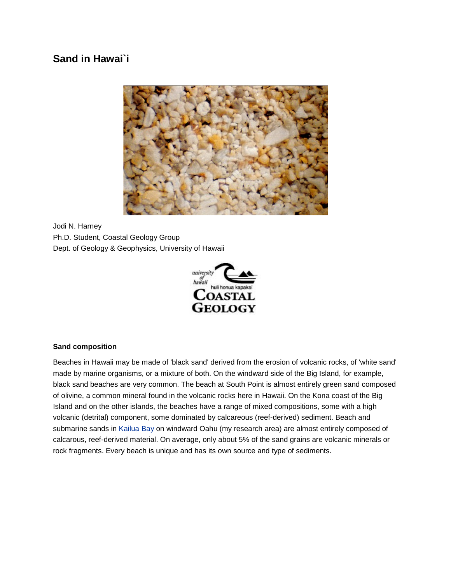# **Sand in Hawai`i**



Jodi N. Harney Ph.D. Student, Coastal Geology Group Dept. of Geology & Geophysics, University of Hawaii



#### **Sand composition**

Beaches in Hawaii may be made of 'black sand' derived from the erosion of volcanic rocks, of 'white sand' made by marine organisms, or a mixture of both. On the windward side of the Big Island, for example, black sand beaches are very common. The beach at South Point is almost entirely green sand composed of olivine, a common mineral found in the volcanic rocks here in Hawaii. On the Kona coast of the Big Island and on the other islands, the beaches have a range of mixed compositions, some with a high volcanic (detrital) component, some dominated by calcareous (reef-derived) sediment. Beach and submarine sands in [Kailua Bay](http://www.soest.hawaii.edu/GG/STUDENTS/jharney/kailua.html) on windward Oahu (my research area) are almost entirely composed of calcarous, reef-derived material. On average, only about 5% of the sand grains are volcanic minerals or rock fragments. Every beach is unique and has its own source and type of sediments.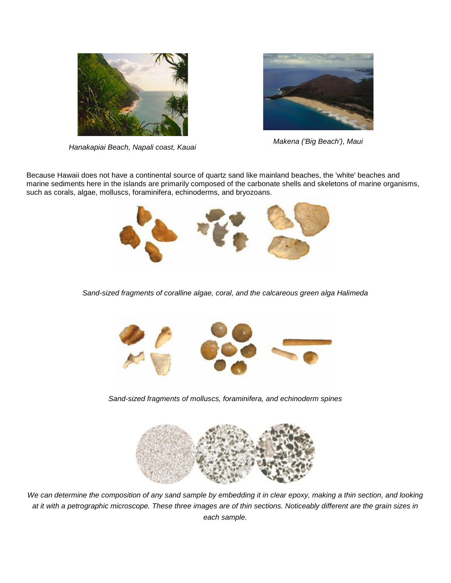

*Hanakapiai Beach, Napali coast, Kauai Makena ('Big Beach'), Maui*



Because Hawaii does not have a continental source of quartz sand like mainland beaches, the 'white' beaches and marine sediments here in the islands are primarily composed of the carbonate shells and skeletons of marine organisms, such as corals, algae, molluscs, foraminifera, echinoderms, and bryozoans.



*Sand-sized fragments of coralline algae, coral, and the calcareous green alga Halimeda*



*Sand-sized fragments of molluscs, foraminifera, and echinoderm spines*



*We can determine the composition of any sand sample by embedding it in clear epoxy, making a thin section, and looking at it with a petrographic microscope. These three images are of thin sections. Noticeably different are the grain sizes in each sample.*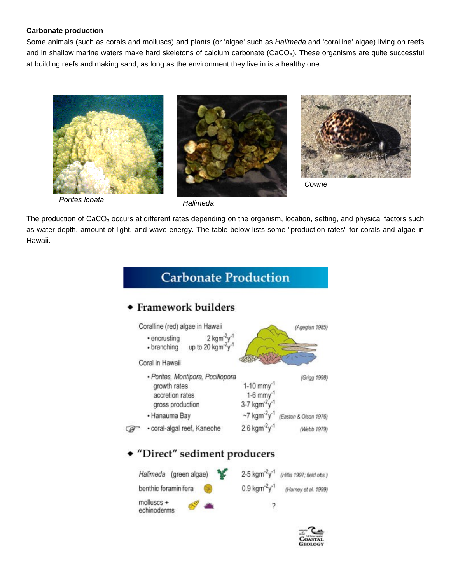# **Carbonate production**

Some animals (such as corals and molluscs) and plants (or 'algae' such as *Halimeda* and 'coralline' algae) living on reefs and in shallow marine waters make hard skeletons of calcium carbonate (CaCO<sub>3</sub>). These organisms are quite successful at building reefs and making sand, as long as the environment they live in is a healthy one.







*Cowrie*

 *Porites lobata Halimeda*

The production of CaCO<sub>3</sub> occurs at different rates depending on the organism, location, setting, and physical factors such as water depth, amount of light, and wave energy. The table below lists some "production rates" for corals and algae in Hawaii.